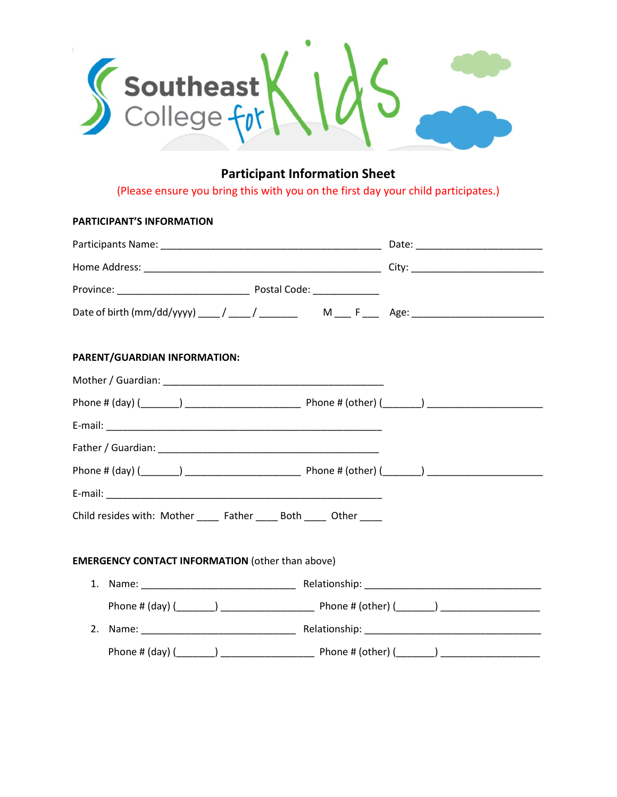

# **Participant Information Sheet**

(Please ensure you bring this with you on the first day your child participates.)

# **PARTICIPANT'S INFORMATION**

|                                                                       | Date of birth (mm/dd/yyyy) ____/ ____/ _______ M ___ F ____ Age: ________________ |  |
|-----------------------------------------------------------------------|-----------------------------------------------------------------------------------|--|
| PARENT/GUARDIAN INFORMATION:                                          |                                                                                   |  |
|                                                                       |                                                                                   |  |
|                                                                       |                                                                                   |  |
|                                                                       |                                                                                   |  |
|                                                                       |                                                                                   |  |
|                                                                       |                                                                                   |  |
|                                                                       |                                                                                   |  |
| Child resides with: Mother ______ Father _____ Both _____ Other _____ |                                                                                   |  |
| <b>EMERGENCY CONTACT INFORMATION (other than above)</b>               |                                                                                   |  |
|                                                                       |                                                                                   |  |
|                                                                       |                                                                                   |  |
|                                                                       |                                                                                   |  |
|                                                                       |                                                                                   |  |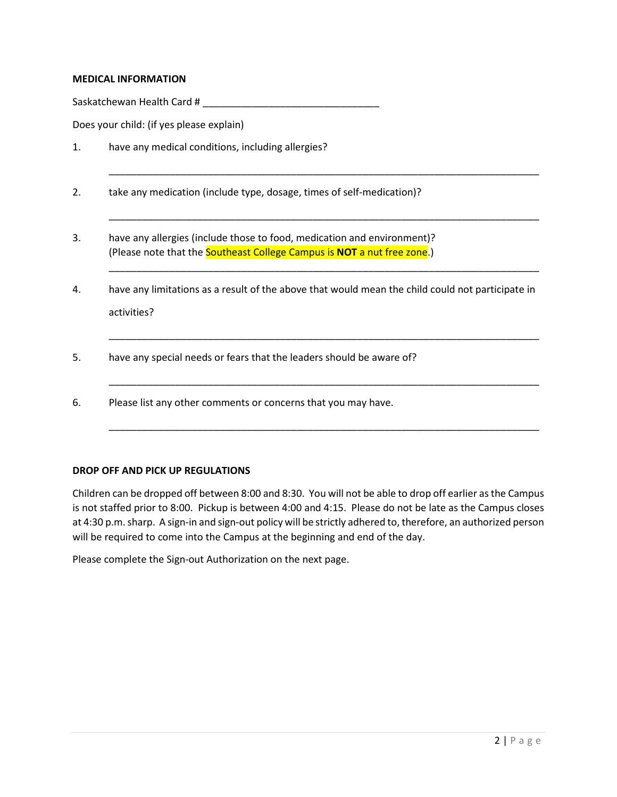## **MEDICAL INFORMATION**

Saskatchewan Health Card # \_\_\_\_\_\_\_\_\_\_\_\_\_\_\_\_\_\_\_\_\_\_\_\_\_\_\_\_\_\_\_\_

Does your child: (if yes please explain)

- 1. have any medical conditions, including allergies?
- 2. take any medication (include type, dosage, times of self-medication)?
- 3. have any allergies (include those to food, medication and environment)? (Please note that the Southeast College Campus is **NOT** a nut free zone.)
- 4. have any limitations as a result of the above that would mean the child could not participate in activities?

\_\_\_\_\_\_\_\_\_\_\_\_\_\_\_\_\_\_\_\_\_\_\_\_\_\_\_\_\_\_\_\_\_\_\_\_\_\_\_\_\_\_\_\_\_\_\_\_\_\_\_\_\_\_\_\_\_\_\_\_\_\_\_\_\_\_\_\_\_\_\_\_\_\_\_\_\_\_

\_\_\_\_\_\_\_\_\_\_\_\_\_\_\_\_\_\_\_\_\_\_\_\_\_\_\_\_\_\_\_\_\_\_\_\_\_\_\_\_\_\_\_\_\_\_\_\_\_\_\_\_\_\_\_\_\_\_\_\_\_\_\_\_\_\_\_\_\_\_\_\_\_\_\_\_\_\_

\_\_\_\_\_\_\_\_\_\_\_\_\_\_\_\_\_\_\_\_\_\_\_\_\_\_\_\_\_\_\_\_\_\_\_\_\_\_\_\_\_\_\_\_\_\_\_\_\_\_\_\_\_\_\_\_\_\_\_\_\_\_\_\_\_\_\_\_\_\_\_\_\_\_\_\_\_\_

\_\_\_\_\_\_\_\_\_\_\_\_\_\_\_\_\_\_\_\_\_\_\_\_\_\_\_\_\_\_\_\_\_\_\_\_\_\_\_\_\_\_\_\_\_\_\_\_\_\_\_\_\_\_\_\_\_\_\_\_\_\_\_\_\_\_\_\_\_\_\_\_\_\_\_\_\_\_

\_\_\_\_\_\_\_\_\_\_\_\_\_\_\_\_\_\_\_\_\_\_\_\_\_\_\_\_\_\_\_\_\_\_\_\_\_\_\_\_\_\_\_\_\_\_\_\_\_\_\_\_\_\_\_\_\_\_\_\_\_\_\_\_\_\_\_\_\_\_\_\_\_\_\_\_\_\_

\_\_\_\_\_\_\_\_\_\_\_\_\_\_\_\_\_\_\_\_\_\_\_\_\_\_\_\_\_\_\_\_\_\_\_\_\_\_\_\_\_\_\_\_\_\_\_\_\_\_\_\_\_\_\_\_\_\_\_\_\_\_\_\_\_\_\_\_\_\_\_\_\_\_\_\_\_\_

- 5. have any special needs or fears that the leaders should be aware of?
- 6. Please list any other comments or concerns that you may have.

#### **DROP OFF AND PICK UP REGULATIONS**

Children can be dropped off between 8:00 and 8:30. You will not be able to drop off earlier as the Campus is not staffed prior to 8:00. Pickup is between 4:00 and 4:15. Please do not be late as the Campus closes at 4:30 p.m. sharp. A sign-in and sign-out policy will be strictly adhered to, therefore, an authorized person will be required to come into the Campus at the beginning and end of the day.

Please complete the Sign-out Authorization on the next page.